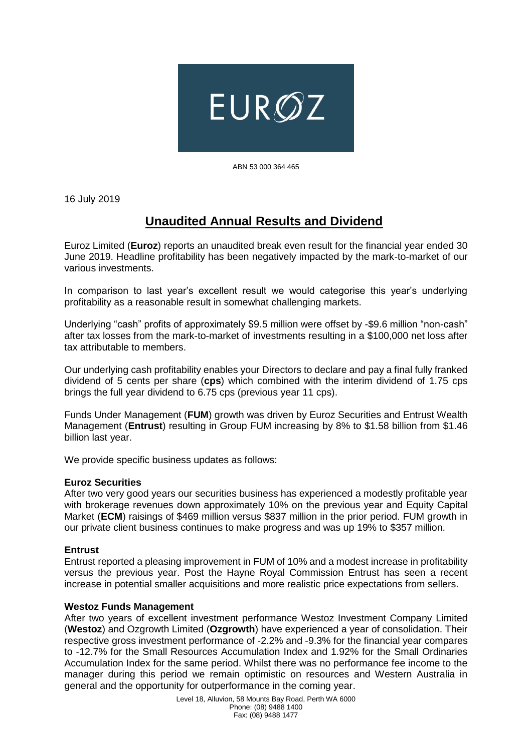

ABN 53 000 364 465

16 July 2019

# **Unaudited Annual Results and Dividend**

Euroz Limited (**Euroz**) reports an unaudited break even result for the financial year ended 30 June 2019. Headline profitability has been negatively impacted by the mark-to-market of our various investments.

In comparison to last year's excellent result we would categorise this year's underlying profitability as a reasonable result in somewhat challenging markets.

Underlying "cash" profits of approximately \$9.5 million were offset by -\$9.6 million "non-cash" after tax losses from the mark-to-market of investments resulting in a \$100,000 net loss after tax attributable to members.

Our underlying cash profitability enables your Directors to declare and pay a final fully franked dividend of 5 cents per share (**cps**) which combined with the interim dividend of 1.75 cps brings the full year dividend to 6.75 cps (previous year 11 cps).

Funds Under Management (**FUM**) growth was driven by Euroz Securities and Entrust Wealth Management (**Entrust**) resulting in Group FUM increasing by 8% to \$1.58 billion from \$1.46 billion last year.

We provide specific business updates as follows:

### **Euroz Securities**

After two very good years our securities business has experienced a modestly profitable year with brokerage revenues down approximately 10% on the previous year and Equity Capital Market (**ECM**) raisings of \$469 million versus \$837 million in the prior period. FUM growth in our private client business continues to make progress and was up 19% to \$357 million.

### **Entrust**

Entrust reported a pleasing improvement in FUM of 10% and a modest increase in profitability versus the previous year. Post the Hayne Royal Commission Entrust has seen a recent increase in potential smaller acquisitions and more realistic price expectations from sellers.

### **Westoz Funds Management**

After two years of excellent investment performance Westoz Investment Company Limited (**Westoz**) and Ozgrowth Limited (**Ozgrowth**) have experienced a year of consolidation. Their respective gross investment performance of -2.2% and -9.3% for the financial year compares to -12.7% for the Small Resources Accumulation Index and 1.92% for the Small Ordinaries Accumulation Index for the same period. Whilst there was no performance fee income to the manager during this period we remain optimistic on resources and Western Australia in general and the opportunity for outperformance in the coming year.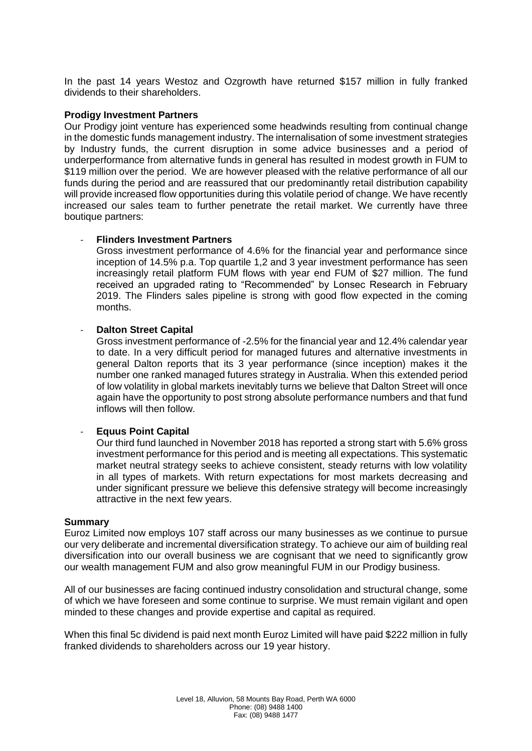In the past 14 years Westoz and Ozgrowth have returned \$157 million in fully franked dividends to their shareholders.

## **Prodigy Investment Partners**

Our Prodigy joint venture has experienced some headwinds resulting from continual change in the domestic funds management industry. The internalisation of some investment strategies by Industry funds, the current disruption in some advice businesses and a period of underperformance from alternative funds in general has resulted in modest growth in FUM to \$119 million over the period. We are however pleased with the relative performance of all our funds during the period and are reassured that our predominantly retail distribution capability will provide increased flow opportunities during this volatile period of change. We have recently increased our sales team to further penetrate the retail market. We currently have three boutique partners:

# - **Flinders Investment Partners**

Gross investment performance of 4.6% for the financial year and performance since inception of 14.5% p.a. Top quartile 1,2 and 3 year investment performance has seen increasingly retail platform FUM flows with year end FUM of \$27 million. The fund received an upgraded rating to "Recommended" by Lonsec Research in February 2019. The Flinders sales pipeline is strong with good flow expected in the coming months.

# **Dalton Street Capital**

Gross investment performance of -2.5% for the financial year and 12.4% calendar year to date. In a very difficult period for managed futures and alternative investments in general Dalton reports that its 3 year performance (since inception) makes it the number one ranked managed futures strategy in Australia. When this extended period of low volatility in global markets inevitably turns we believe that Dalton Street will once again have the opportunity to post strong absolute performance numbers and that fund inflows will then follow.

# - **Equus Point Capital**

Our third fund launched in November 2018 has reported a strong start with 5.6% gross investment performance for this period and is meeting all expectations. This systematic market neutral strategy seeks to achieve consistent, steady returns with low volatility in all types of markets. With return expectations for most markets decreasing and under significant pressure we believe this defensive strategy will become increasingly attractive in the next few years.

### **Summary**

Euroz Limited now employs 107 staff across our many businesses as we continue to pursue our very deliberate and incremental diversification strategy. To achieve our aim of building real diversification into our overall business we are cognisant that we need to significantly grow our wealth management FUM and also grow meaningful FUM in our Prodigy business.

All of our businesses are facing continued industry consolidation and structural change, some of which we have foreseen and some continue to surprise. We must remain vigilant and open minded to these changes and provide expertise and capital as required.

When this final 5c dividend is paid next month Euroz Limited will have paid \$222 million in fully franked dividends to shareholders across our 19 year history.